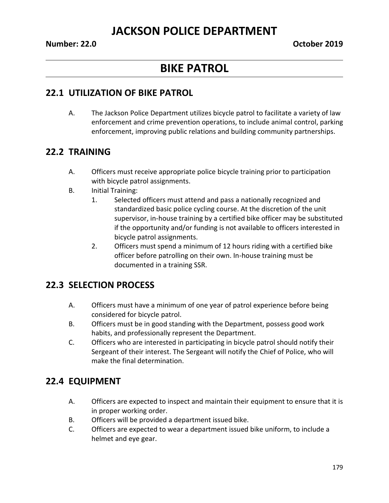## **JACKSON POLICE DEPARTMENT**

# **BIKE PATROL**

#### **22.1 UTILIZATION OF BIKE PATROL**

A. The Jackson Police Department utilizes bicycle patrol to facilitate a variety of law enforcement and crime prevention operations, to include animal control, parking enforcement, improving public relations and building community partnerships.

#### **22.2 TRAINING**

- A. Officers must receive appropriate police bicycle training prior to participation with bicycle patrol assignments.
- B. Initial Training:
	- 1. Selected officers must attend and pass a nationally recognized and standardized basic police cycling course. At the discretion of the unit supervisor, in-house training by a certified bike officer may be substituted if the opportunity and/or funding is not available to officers interested in bicycle patrol assignments.
	- 2. Officers must spend a minimum of 12 hours riding with a certified bike officer before patrolling on their own. In-house training must be documented in a training SSR.

### **22.3 SELECTION PROCESS**

- A. Officers must have a minimum of one year of patrol experience before being considered for bicycle patrol.
- B. Officers must be in good standing with the Department, possess good work habits, and professionally represent the Department.
- C. Officers who are interested in participating in bicycle patrol should notify their Sergeant of their interest. The Sergeant will notify the Chief of Police, who will make the final determination.

#### **22.4 EQUIPMENT**

- A. Officers are expected to inspect and maintain their equipment to ensure that it is in proper working order.
- B. Officers will be provided a department issued bike.
- C. Officers are expected to wear a department issued bike uniform, to include a helmet and eye gear.